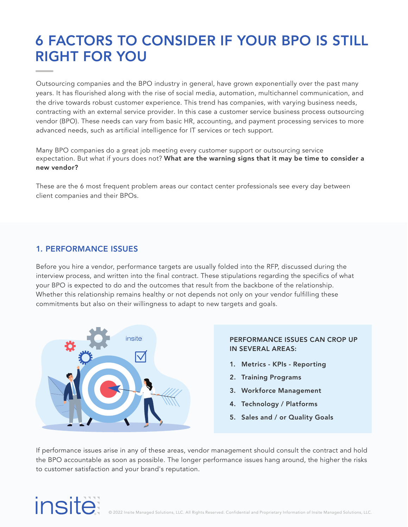# 6 FACTORS TO CONSIDER IF YOUR BPO IS STILL RIGHT FOR YOU

Outsourcing companies and the BPO industry in general, have grown exponentially over the past many years. It has flourished along with the rise of social media, automation, multichannel communication, and the drive towards robust customer experience. This trend has companies, with varying business needs, contracting with an external service provider. In this case a customer service business process outsourcing vendor (BPO). These needs can vary from basic HR, accounting, and payment processing services to more advanced needs, such as artificial intelligence for IT services or tech support.

Many BPO companies do a great job meeting every customer support or outsourcing service expectation. But what if yours does not? What are the warning signs that it may be time to consider a new vendor?

These are the 6 most frequent problem areas our contact center professionals see every day between client companies and their BPOs.

#### 1. PERFORMANCE ISSUES

Before you hire a vendor, performance targets are usually folded into the RFP, discussed during the interview process, and written into the final contract. These stipulations regarding the specifics of what your BPO is expected to do and the outcomes that result from the backbone of the relationship. Whether this relationship remains healthy or not depends not only on your vendor fulfilling these commitments but also on their willingness to adapt to new targets and goals.



#### PERFORMANCE ISSUES CAN CROP UP IN SEVERAL AREAS:

- 1. Metrics KPIs Reporting
- 2. Training Programs
- 3. Workforce Management
- 4. Technology / Platforms
- 5. Sales and / or Quality Goals

If performance issues arise in any of these areas, vendor management should consult the contract and hold the BPO accountable as soon as possible. The longer performance issues hang around, the higher the risks to customer satisfaction and your brand's reputation.

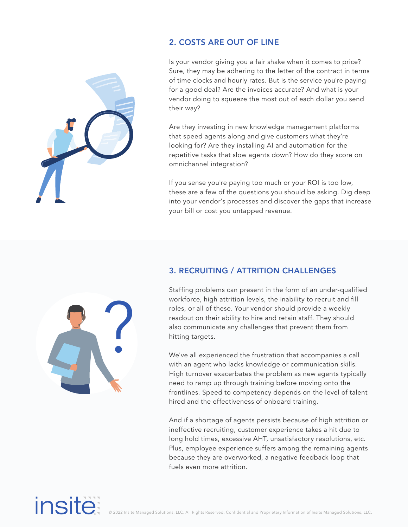

### 2. COSTS ARE OUT OF LINE

Is your vendor giving you a fair shake when it comes to price? Sure, they may be adhering to the letter of the contract in terms of time clocks and hourly rates. But is the service you're paying for a good deal? Are the invoices accurate? And what is your vendor doing to squeeze the most out of each dollar you send their way?

Are they investing in new knowledge management platforms that speed agents along and give customers what they're looking for? Are they installing AI and automation for the repetitive tasks that slow agents down? How do they score on omnichannel integration?

If you sense you're paying too much or your ROI is too low, these are a few of the questions you should be asking. Dig deep into your vendor's processes and discover the gaps that increase your bill or cost you untapped revenue.

### 3. RECRUITING / ATTRITION CHALLENGES

Staffing problems can present in the form of an under-qualified workforce, high attrition levels, the inability to recruit and fill roles, or all of these. Your vendor should provide a weekly readout on their ability to hire and retain staff. They should also communicate any challenges that prevent them from hitting targets.

We've all experienced the frustration that accompanies a call with an agent who lacks knowledge or communication skills. High turnover exacerbates the problem as new agents typically need to ramp up through training before moving onto the frontlines. Speed to competency depends on the level of talent hired and the effectiveness of onboard training.

And if a shortage of agents persists because of high attrition or ineffective recruiting, customer experience takes a hit due to long hold times, excessive AHT, unsatisfactory resolutions, etc. Plus, employee experience suffers among the remaining agents because they are overworked, a negative feedback loop that fuels even more attrition.

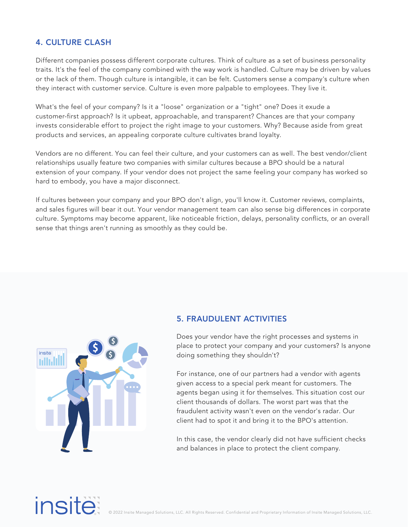## 4. CULTURE CLASH

Different companies possess different corporate cultures. Think of culture as a set of business personality traits. It's the feel of the company combined with the way work is handled. Culture may be driven by values or the lack of them. Though culture is intangible, it can be felt. Customers sense a company's culture when they interact with customer service. Culture is even more palpable to employees. They live it.

What's the feel of your company? Is it a "loose" organization or a "tight" one? Does it exude a customer-first approach? Is it upbeat, approachable, and transparent? Chances are that your company invests considerable effort to project the right image to your customers. Why? Because aside from great products and services, an appealing corporate culture cultivates brand loyalty.

Vendors are no different. You can feel their culture, and your customers can as well. The best vendor/client relationships usually feature two companies with similar cultures because a BPO should be a natural extension of your company. If your vendor does not project the same feeling your company has worked so hard to embody, you have a major disconnect.

If cultures between your company and your BPO don't align, you'll know it. Customer reviews, complaints, and sales figures will bear it out. Your vendor management team can also sense big differences in corporate culture. Symptoms may become apparent, like noticeable friction, delays, personality conflicts, or an overall sense that things aren't running as smoothly as they could be.



### 5. FRAUDULENT ACTIVITIES

Does your vendor have the right processes and systems in place to protect your company and your customers? Is anyone doing something they shouldn't?

For instance, one of our partners had a vendor with agents given access to a special perk meant for customers. The agents began using it for themselves. This situation cost our client thousands of dollars. The worst part was that the fraudulent activity wasn't even on the vendor's radar. Our client had to spot it and bring it to the BPO's attention.

In this case, the vendor clearly did not have sufficient checks and balances in place to protect the client company.